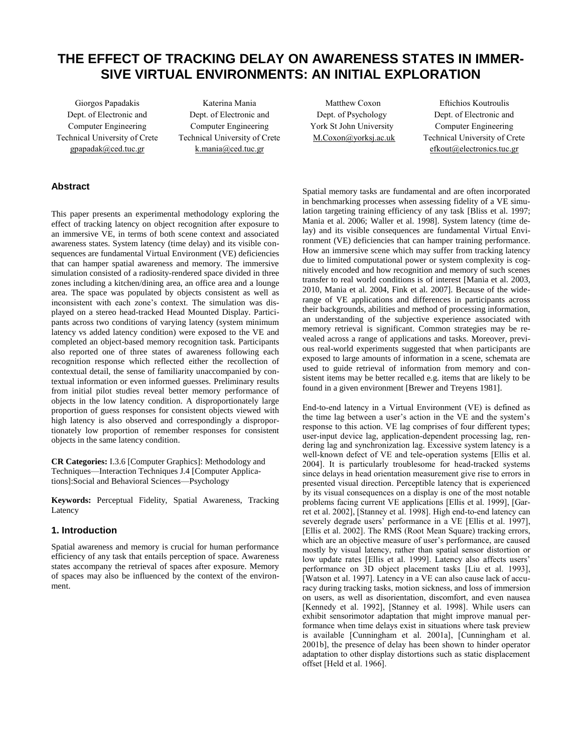# **THE EFFECT OF TRACKING DELAY ON AWARENESS STATES IN IMMER-SIVE VIRTUAL ENVIRONMENTS: AN INITIAL EXPLORATION**

Giorgos Papadakis Dept. of Electronic and Computer Engineering Technical University of Crete gpapadak@ced.tuc.gr

Katerina Mania Dept. of Electronic and Computer Engineering Technical University of Crete k.mania@ced.tuc.gr

Matthew Coxon Dept. of Psychology York St John University  [M.Coxon@yorksj.ac.uk](mailto:M.Coxon@yorksj.ac.uk)

Eftichios Koutroulis Dept. of Electronic and Computer Engineering Technical University of Crete [efkout@electronics.tuc.gr](mailto:efkout@electronics.tuc.gr)

# **Abstract**

This paper presents an experimental methodology exploring the effect of tracking latency on object recognition after exposure to an immersive VE, in terms of both scene context and associated awareness states. System latency (time delay) and its visible consequences are fundamental Virtual Environment (VE) deficiencies that can hamper spatial awareness and memory. The immersive simulation consisted of a radiosity-rendered space divided in three zones including a kitchen/dining area, an office area and a lounge area. The space was populated by objects consistent as well as inconsistent with each zone's context. The simulation was displayed on a stereo head-tracked Head Mounted Display. Participants across two conditions of varying latency (system minimum latency vs added latency condition) were exposed to the VE and completed an object-based memory recognition task. Participants also reported one of three states of awareness following each recognition response which reflected either the recollection of contextual detail, the sense of familiarity unaccompanied by contextual information or even informed guesses. Preliminary results from initial pilot studies reveal better memory performance of objects in the low latency condition. A disproportionately large proportion of guess responses for consistent objects viewed with high latency is also observed and correspondingly a disproportionately low proportion of remember responses for consistent objects in the same latency condition.

**CR Categories:** I.3.6 [Computer Graphics]: Methodology and Techniques—Interaction Techniques J.4 [Computer Applications]:Social and Behavioral Sciences—Psychology

**Keywords:** Perceptual Fidelity, Spatial Awareness, Tracking Latency

# **1. Introduction**

Spatial awareness and memory is crucial for human performance efficiency of any task that entails perception of space. Awareness states accompany the retrieval of spaces after exposure. Memory of spaces may also be influenced by the context of the environment.

Spatial memory tasks are fundamental and are often incorporated in benchmarking processes when assessing fidelity of a VE simulation targeting training efficiency of any task [Bliss et al. 1997; Mania et al. 2006; Waller et al. 1998]. System latency (time delay) and its visible consequences are fundamental Virtual Environment (VE) deficiencies that can hamper training performance. How an immersive scene which may suffer from tracking latency due to limited computational power or system complexity is cognitively encoded and how recognition and memory of such scenes transfer to real world conditions is of interest [Mania et al. 2003, 2010, Mania et al. 2004, Fink et al. 2007]. Because of the widerange of VE applications and differences in participants across their backgrounds, abilities and method of processing information, an understanding of the subjective experience associated with memory retrieval is significant. Common strategies may be revealed across a range of applications and tasks. Moreover, previous real-world experiments suggested that when participants are exposed to large amounts of information in a scene, schemata are used to guide retrieval of information from memory and consistent items may be better recalled e.g. items that are likely to be found in a given environment [Brewer and Treyens 1981].

End-to-end latency in a Virtual Environment (VE) is defined as the time lag between a user's action in the VE and the system's response to this action. VE lag comprises of four different types; user-input device lag, application-dependent processing lag, rendering lag and synchronization lag. Excessive system latency is a well-known defect of VE and tele-operation systems [Ellis et al. 2004]. It is particularly troublesome for head-tracked systems since delays in head orientation measurement give rise to errors in presented visual direction. Perceptible latency that is experienced by its visual consequences on a display is one of the most notable problems facing current VE applications [Ellis et al. 1999], [Garret et al. 2002], [Stanney et al. 1998]. High end-to-end latency can severely degrade users' performance in a VE [Ellis et al. 1997], [Ellis et al. 2002]. The RMS (Root Mean Square) tracking errors, which are an objective measure of user's performance, are caused mostly by visual latency, rather than spatial sensor distortion or low update rates [Ellis et al. 1999]. Latency also affects users' performance on 3D object placement tasks [Liu et al. 1993], [Watson et al. 1997]. Latency in a VE can also cause lack of accuracy during tracking tasks, motion sickness, and loss of immersion on users, as well as disorientation, discomfort, and even nausea [Kennedy et al. 1992], [Stanney et al. 1998]. While users can exhibit sensorimotor adaptation that might improve manual performance when time delays exist in situations where task preview is available [Cunningham et al. 2001a], [Cunningham et al. 2001b], the presence of delay has been shown to hinder operator adaptation to other display distortions such as static displacement offset [Held et al. 1966].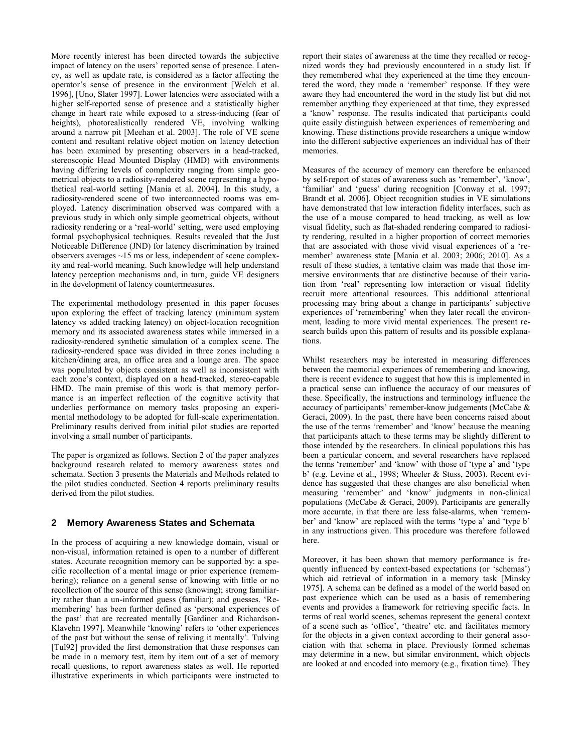More recently interest has been directed towards the subjective impact of latency on the users' reported sense of presence. Latency, as well as update rate, is considered as a factor affecting the operator's sense of presence in the environment [Welch et al. 1996], [Uno, Slater 1997]. Lower latencies were associated with a higher self-reported sense of presence and a statistically higher change in heart rate while exposed to a stress-inducing (fear of heights), photorealistically rendered VE, involving walking around a narrow pit [Meehan et al. 2003]. The role of VE scene content and resultant relative object motion on latency detection has been examined by presenting observers in a head-tracked, stereoscopic Head Mounted Display (HMD) with environments having differing levels of complexity ranging from simple geometrical objects to a radiosity-rendered scene representing a hypothetical real-world setting [Mania et al. 2004]. In this study, a radiosity-rendered scene of two interconnected rooms was employed. Latency discrimination observed was compared with a previous study in which only simple geometrical objects, without radiosity rendering or a 'real-world' setting, were used employing formal psychophysical techniques. Results revealed that the Just Noticeable Difference (JND) for latency discrimination by trained observers averages ~15 ms or less, independent of scene complexity and real-world meaning. Such knowledge will help understand latency perception mechanisms and, in turn, guide VE designers in the development of latency countermeasures.

The experimental methodology presented in this paper focuses upon exploring the effect of tracking latency (minimum system latency vs added tracking latency) on object-location recognition memory and its associated awareness states while immersed in a radiosity-rendered synthetic simulation of a complex scene. The radiosity-rendered space was divided in three zones including a kitchen/dining area, an office area and a lounge area. The space was populated by objects consistent as well as inconsistent with each zone's context, displayed on a head-tracked, stereo-capable HMD. The main premise of this work is that memory performance is an imperfect reflection of the cognitive activity that underlies performance on memory tasks proposing an experimental methodology to be adopted for full-scale experimentation. Preliminary results derived from initial pilot studies are reported involving a small number of participants.

The paper is organized as follows. Section 2 of the paper analyzes background research related to memory awareness states and schemata. Section 3 presents the Materials and Methods related to the pilot studies conducted. Section 4 reports preliminary results derived from the pilot studies.

# **2 Memory Awareness States and Schemata**

In the process of acquiring a new knowledge domain, visual or non-visual, information retained is open to a number of different states. Accurate recognition memory can be supported by: a specific recollection of a mental image or prior experience (remembering); reliance on a general sense of knowing with little or no recollection of the source of this sense (knowing); strong familiarity rather than a un-informed guess (familiar); and guesses. 'Remembering' has been further defined as 'personal experiences of the past' that are recreated mentally [Gardiner and Richardson-Klavehn 1997]. Meanwhile 'knowing' refers to 'other experiences of the past but without the sense of reliving it mentally'. Tulving [Tul92] provided the first demonstration that these responses can be made in a memory test, item by item out of a set of memory recall questions, to report awareness states as well. He reported illustrative experiments in which participants were instructed to

report their states of awareness at the time they recalled or recognized words they had previously encountered in a study list. If they remembered what they experienced at the time they encountered the word, they made a 'remember' response. If they were aware they had encountered the word in the study list but did not remember anything they experienced at that time, they expressed a 'know' response. The results indicated that participants could quite easily distinguish between experiences of remembering and knowing. These distinctions provide researchers a unique window into the different subjective experiences an individual has of their memories.

Measures of the accuracy of memory can therefore be enhanced by self-report of states of awareness such as 'remember', 'know', 'familiar' and 'guess' during recognition [Conway et al. 1997; Brandt et al. 2006]. Object recognition studies in VE simulations have demonstrated that low interaction fidelity interfaces, such as the use of a mouse compared to head tracking, as well as low visual fidelity, such as flat-shaded rendering compared to radiosity rendering, resulted in a higher proportion of correct memories that are associated with those vivid visual experiences of a 'remember' awareness state [Mania et al. 2003; 2006; 2010]. As a result of these studies, a tentative claim was made that those immersive environments that are distinctive because of their variation from 'real' representing low interaction or visual fidelity recruit more attentional resources. This additional attentional processing may bring about a change in participants' subjective experiences of 'remembering' when they later recall the environment, leading to more vivid mental experiences. The present research builds upon this pattern of results and its possible explanations.

Whilst researchers may be interested in measuring differences between the memorial experiences of remembering and knowing, there is recent evidence to suggest that how this is implemented in a practical sense can influence the accuracy of our measures of these. Specifically, the instructions and terminology influence the accuracy of participants' remember-know judgements (McCabe & Geraci, 2009). In the past, there have been concerns raised about the use of the terms 'remember' and 'know' because the meaning that participants attach to these terms may be slightly different to those intended by the researchers. In clinical populations this has been a particular concern, and several researchers have replaced the terms 'remember' and 'know' with those of 'type a' and 'type b' (e.g. Levine et al., 1998; Wheeler & Stuss, 2003). Recent evidence has suggested that these changes are also beneficial when measuring 'remember' and 'know' judgments in non-clinical populations (McCabe & Geraci, 2009). Participants are generally more accurate, in that there are less false-alarms, when 'remember' and 'know' are replaced with the terms 'type a' and 'type b' in any instructions given. This procedure was therefore followed here.

Moreover, it has been shown that memory performance is frequently influenced by context-based expectations (or 'schemas') which aid retrieval of information in a memory task [Minsky 1975]. A schema can be defined as a model of the world based on past experience which can be used as a basis of remembering events and provides a framework for retrieving specific facts. In terms of real world scenes, schemas represent the general context of a scene such as 'office', 'theatre' etc. and facilitates memory for the objects in a given context according to their general association with that schema in place. Previously formed schemas may determine in a new, but similar environment, which objects are looked at and encoded into memory (e.g., fixation time). They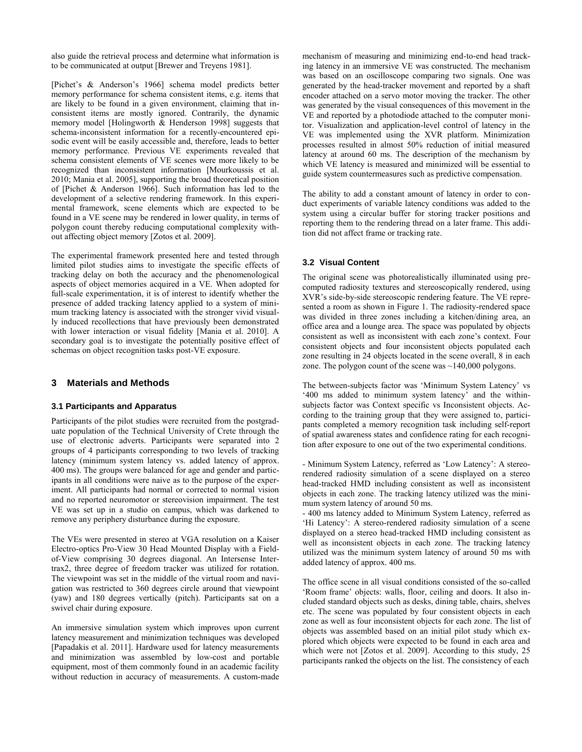also guide the retrieval process and determine what information is to be communicated at output [Brewer and Treyens 1981].

[Pichet's & Anderson's 1966] schema model predicts better memory performance for schema consistent items, e.g. items that are likely to be found in a given environment, claiming that inconsistent items are mostly ignored. Contrarily, the dynamic memory model [Holingworth & Henderson 1998] suggests that schema-inconsistent information for a recently-encountered episodic event will be easily accessible and, therefore, leads to better memory performance. Previous VE experiments revealed that schema consistent elements of VE scenes were more likely to be recognized than inconsistent information [Mourkoussis et al. 2010; Mania et al. 2005], supporting the broad theoretical position of [Pichet & Anderson 1966]. Such information has led to the development of a selective rendering framework. In this experimental framework, scene elements which are expected to be found in a VE scene may be rendered in lower quality, in terms of polygon count thereby reducing computational complexity without affecting object memory [Zotos et al. 2009].

The experimental framework presented here and tested through limited pilot studies aims to investigate the specific effects of tracking delay on both the accuracy and the phenomenological aspects of object memories acquired in a VE. When adopted for full-scale experimentation, it is of interest to identify whether the presence of added tracking latency applied to a system of minimum tracking latency is associated with the stronger vivid visually induced recollections that have previously been demonstrated with lower interaction or visual fidelity [Mania et al. 2010]. A secondary goal is to investigate the potentially positive effect of schemas on object recognition tasks post-VE exposure.

#### **3 Materials and Methods**

#### **3.1 Participants and Apparatus**

Participants of the pilot studies were recruited from the postgraduate population of the Technical University of Crete through the use of electronic adverts. Participants were separated into 2 groups of 4 participants corresponding to two levels of tracking latency (minimum system latency vs. added latency of approx. 400 ms). The groups were balanced for age and gender and participants in all conditions were naive as to the purpose of the experiment. All participants had normal or corrected to normal vision and no reported neuromotor or stereovision impairment. The test VE was set up in a studio on campus, which was darkened to remove any periphery disturbance during the exposure.

The VEs were presented in stereo at VGA resolution on a Kaiser Electro-optics Pro-View 30 Head Mounted Display with a Fieldof-View comprising 30 degrees diagonal. An Intersense Intertrax2, three degree of freedom tracker was utilized for rotation. The viewpoint was set in the middle of the virtual room and navigation was restricted to 360 degrees circle around that viewpoint (yaw) and 180 degrees vertically (pitch). Participants sat on a swivel chair during exposure.

An immersive simulation system which improves upon current latency measurement and minimization techniques was developed [Papadakis et al. 2011]. Hardware used for latency measurements and minimization was assembled by low-cost and portable equipment, most of them commonly found in an academic facility without reduction in accuracy of measurements. A custom-made

mechanism of measuring and minimizing end-to-end head tracking latency in an immersive VE was constructed. The mechanism was based on an oscilloscope comparing two signals. One was generated by the head-tracker movement and reported by a shaft encoder attached on a servo motor moving the tracker. The other was generated by the visual consequences of this movement in the VE and reported by a photodiode attached to the computer monitor. Visualization and application-level control of latency in the VE was implemented using the XVR platform. Minimization processes resulted in almost 50% reduction of initial measured latency at around 60 ms. The description of the mechanism by which VE latency is measured and minimized will be essential to guide system countermeasures such as predictive compensation.

The ability to add a constant amount of latency in order to conduct experiments of variable latency conditions was added to the system using a circular buffer for storing tracker positions and reporting them to the rendering thread on a later frame. This addition did not affect frame or tracking rate.

#### **3.2 Visual Content**

The original scene was photorealistically illuminated using precomputed radiosity textures and stereoscopically rendered, using XVR's side-by-side stereoscopic rendering feature. The VE represented a room as shown in Figure 1. The radiosity-rendered space was divided in three zones including a kitchen/dining area, an office area and a lounge area. The space was populated by objects consistent as well as inconsistent with each zone's context. Four consistent objects and four inconsistent objects populated each zone resulting in 24 objects located in the scene overall, 8 in each zone. The polygon count of the scene was ~140,000 polygons.

The between-subjects factor was 'Minimum System Latency' vs '400 ms added to minimum system latency' and the withinsubjects factor was Context specific vs Inconsistent objects. According to the training group that they were assigned to, participants completed a memory recognition task including self-report of spatial awareness states and confidence rating for each recognition after exposure to one out of the two experimental conditions.

- Minimum System Latency, referred as 'Low Latency': A stereorendered radiosity simulation of a scene displayed on a stereo head-tracked HMD including consistent as well as inconsistent objects in each zone. The tracking latency utilized was the minimum system latency of around 50 ms.

- 400 ms latency added to Minimum System Latency, referred as 'Hi Latency': A stereo-rendered radiosity simulation of a scene displayed on a stereo head-tracked HMD including consistent as well as inconsistent objects in each zone. The tracking latency utilized was the minimum system latency of around 50 ms with added latency of approx. 400 ms.

The office scene in all visual conditions consisted of the so-called 'Room frame' objects: walls, floor, ceiling and doors. It also included standard objects such as desks, dining table, chairs, shelves etc. The scene was populated by four consistent objects in each zone as well as four inconsistent objects for each zone. The list of objects was assembled based on an initial pilot study which explored which objects were expected to be found in each area and which were not [Zotos et al. 2009]. According to this study, 25 participants ranked the objects on the list. The consistency of each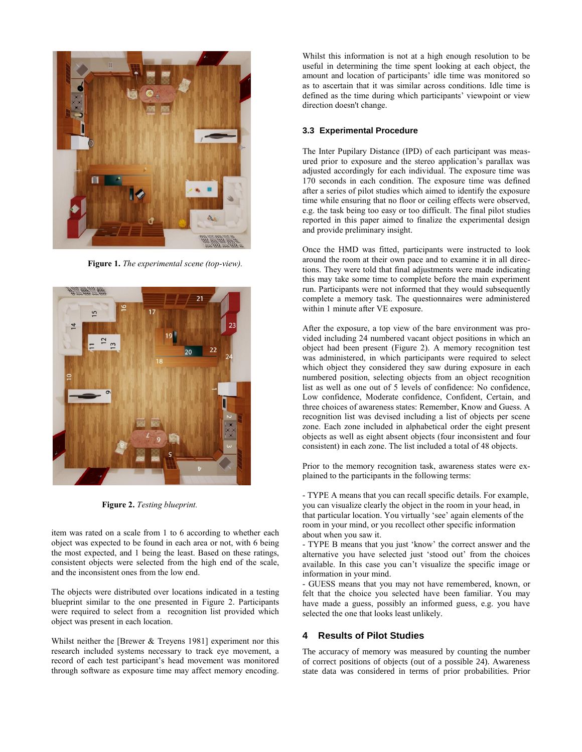

**Figure 1.** *The experimental scene (top-view).*



**Figure 2.** *Testing blueprint.*

item was rated on a scale from 1 to 6 according to whether each object was expected to be found in each area or not, with 6 being the most expected, and 1 being the least. Based on these ratings, consistent objects were selected from the high end of the scale, and the inconsistent ones from the low end.

The objects were distributed over locations indicated in a testing blueprint similar to the one presented in Figure 2. Participants were required to select from a recognition list provided which object was present in each location.

Whilst neither the [Brewer & Treyens 1981] experiment nor this research included systems necessary to track eye movement, a record of each test participant's head movement was monitored through software as exposure time may affect memory encoding. Whilst this information is not at a high enough resolution to be useful in determining the time spent looking at each object, the amount and location of participants' idle time was monitored so as to ascertain that it was similar across conditions. Idle time is defined as the time during which participants' viewpoint or view direction doesn't change.

#### **3.3 Experimental Procedure**

The Inter Pupilary Distance (IPD) of each participant was measured prior to exposure and the stereo application's parallax was adjusted accordingly for each individual. The exposure time was 170 seconds in each condition. The exposure time was defined after a series of pilot studies which aimed to identify the exposure time while ensuring that no floor or ceiling effects were observed, e.g. the task being too easy or too difficult. The final pilot studies reported in this paper aimed to finalize the experimental design and provide preliminary insight.

Once the HMD was fitted, participants were instructed to look around the room at their own pace and to examine it in all directions. They were told that final adjustments were made indicating this may take some time to complete before the main experiment run. Participants were not informed that they would subsequently complete a memory task. The questionnaires were administered within 1 minute after VE exposure.

After the exposure, a top view of the bare environment was provided including 24 numbered vacant object positions in which an object had been present (Figure 2). A memory recognition test was administered, in which participants were required to select which object they considered they saw during exposure in each numbered position, selecting objects from an object recognition list as well as one out of 5 levels of confidence: No confidence, Low confidence, Moderate confidence, Confident, Certain, and three choices of awareness states: Remember, Know and Guess. A recognition list was devised including a list of objects per scene zone. Each zone included in alphabetical order the eight present objects as well as eight absent objects (four inconsistent and four consistent) in each zone. The list included a total of 48 objects.

Prior to the memory recognition task, awareness states were explained to the participants in the following terms:

- TYPE A means that you can recall specific details. For example, you can visualize clearly the object in the room in your head, in that particular location. You virtually 'see' again elements of the room in your mind, or you recollect other specific information about when you saw it.

- TYPE B means that you just 'know' the correct answer and the alternative you have selected just 'stood out' from the choices available. In this case you can't visualize the specific image or information in your mind.

- GUESS means that you may not have remembered, known, or felt that the choice you selected have been familiar. You may have made a guess, possibly an informed guess, e.g. you have selected the one that looks least unlikely.

# **4 Results of Pilot Studies**

The accuracy of memory was measured by counting the number of correct positions of objects (out of a possible 24). Awareness state data was considered in terms of prior probabilities. Prior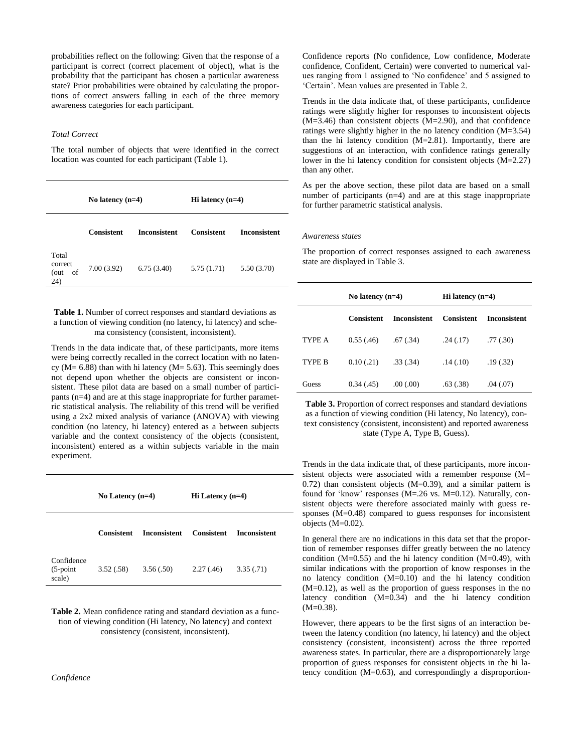probabilities reflect on the following: Given that the response of a participant is correct (correct placement of object), what is the probability that the participant has chosen a particular awareness state? Prior probabilities were obtained by calculating the proportions of correct answers falling in each of the three memory awareness categories for each participant.

### *Total Correct*

The total number of objects that were identified in the correct location was counted for each participant (Table 1).

|                                        | No latency $(n=4)$ |                     | Hi latency $(n=4)$ |                     |
|----------------------------------------|--------------------|---------------------|--------------------|---------------------|
|                                        | <b>Consistent</b>  | <b>Inconsistent</b> | <b>Consistent</b>  | <b>Inconsistent</b> |
| Total<br>correct<br>of<br>(out)<br>24) | 7.00(3.92)         | 6.75(3.40)          | 5.75 (1.71)        | 5.50 (3.70)         |

**Table 1.** Number of correct responses and standard deviations as a function of viewing condition (no latency, hi latency) and schema consistency (consistent, inconsistent).

Trends in the data indicate that, of these participants, more items were being correctly recalled in the correct location with no latency ( $M = 6.88$ ) than with hi latency ( $M = 5.63$ ). This seemingly does not depend upon whether the objects are consistent or inconsistent. These pilot data are based on a small number of participants (n=4) and are at this stage inappropriate for further parametric statistical analysis. The reliability of this trend will be verified using a 2x2 mixed analysis of variance (ANOVA) with viewing condition (no latency, hi latency) entered as a between subjects variable and the context consistency of the objects (consistent, inconsistent) entered as a within subjects variable in the main experiment.

|                                     | No Latency $(n=4)$ |                     | $Hi$ Latency $(n=4)$ |                     |
|-------------------------------------|--------------------|---------------------|----------------------|---------------------|
|                                     | Consistent         | <b>Inconsistent</b> | <b>Consistent</b>    | <b>Inconsistent</b> |
| Confidence<br>$(5$ -point<br>scale) | 3.52(.58)          | 3.56(.50)           | 2.27(0.46)           | 3.35(.71)           |

**Table 2.** Mean confidence rating and standard deviation as a function of viewing condition (Hi latency, No latency) and context consistency (consistent, inconsistent).

Confidence reports (No confidence, Low confidence, Moderate confidence, Confident, Certain) were converted to numerical values ranging from 1 assigned to 'No confidence' and 5 assigned to 'Certain'. Mean values are presented in Table 2.

Trends in the data indicate that, of these participants, confidence ratings were slightly higher for responses to inconsistent objects (M=3.46) than consistent objects (M=2.90), and that confidence ratings were slightly higher in the no latency condition (M=3.54) than the hi latency condition  $(M=2.81)$ . Importantly, there are suggestions of an interaction, with confidence ratings generally lower in the hi latency condition for consistent objects (M=2.27) than any other.

As per the above section, these pilot data are based on a small number of participants (n=4) and are at this stage inappropriate for further parametric statistical analysis.

#### *Awareness states*

The proportion of correct responses assigned to each awareness state are displayed in Table 3.

|        | No latency $(n=4)$ |                     | Hi latency $(n=4)$ |                     |
|--------|--------------------|---------------------|--------------------|---------------------|
|        | <b>Consistent</b>  | <b>Inconsistent</b> | <b>Consistent</b>  | <b>Inconsistent</b> |
| TYPE A | 0.55(0.46)         | .67(.34)            | .24(.17)           | .77(0.30)           |
| TYPE B | 0.10(0.21)         | .33(.34)            | .14(.10)           | .19(0.32)           |
| Guess  | 0.34(0.45)         | .00(.00)            | .63(0.38)          | .04(.07)            |

**Table 3.** Proportion of correct responses and standard deviations as a function of viewing condition (Hi latency, No latency), context consistency (consistent, inconsistent) and reported awareness state (Type A, Type B, Guess).

Trends in the data indicate that, of these participants, more inconsistent objects were associated with a remember response (M=  $0.72$ ) than consistent objects (M=0.39), and a similar pattern is found for 'know' responses (M=.26 vs. M=0.12). Naturally, consistent objects were therefore associated mainly with guess responses (M=0.48) compared to guess responses for inconsistent objects (M=0.02).

In general there are no indications in this data set that the proportion of remember responses differ greatly between the no latency condition ( $M=0.55$ ) and the hi latency condition ( $M=0.49$ ), with similar indications with the proportion of know responses in the no latency condition (M=0.10) and the hi latency condition (M=0.12), as well as the proportion of guess responses in the no latency condition (M=0.34) and the hi latency condition  $(M=0.38)$ .

However, there appears to be the first signs of an interaction between the latency condition (no latency, hi latency) and the object consistency (consistent, inconsistent) across the three reported awareness states. In particular, there are a disproportionately large proportion of guess responses for consistent objects in the hi latency condition (M=0.63), and correspondingly a disproportion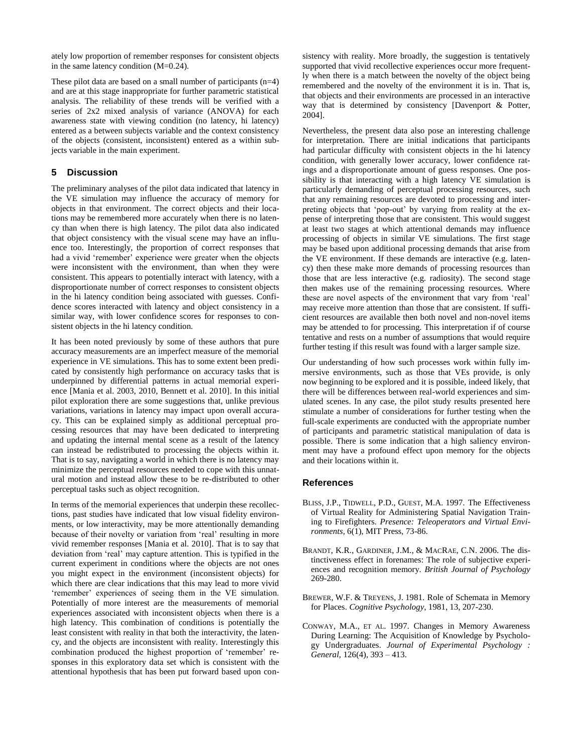ately low proportion of remember responses for consistent objects in the same latency condition (M=0.24).

These pilot data are based on a small number of participants (n=4) and are at this stage inappropriate for further parametric statistical analysis. The reliability of these trends will be verified with a series of 2x2 mixed analysis of variance (ANOVA) for each awareness state with viewing condition (no latency, hi latency) entered as a between subjects variable and the context consistency of the objects (consistent, inconsistent) entered as a within subjects variable in the main experiment.

# **5 Discussion**

The preliminary analyses of the pilot data indicated that latency in the VE simulation may influence the accuracy of memory for objects in that environment. The correct objects and their locations may be remembered more accurately when there is no latency than when there is high latency. The pilot data also indicated that object consistency with the visual scene may have an influence too. Interestingly, the proportion of correct responses that had a vivid 'remember' experience were greater when the objects were inconsistent with the environment, than when they were consistent. This appears to potentially interact with latency, with a disproportionate number of correct responses to consistent objects in the hi latency condition being associated with guesses. Confidence scores interacted with latency and object consistency in a similar way, with lower confidence scores for responses to consistent objects in the hi latency condition.

It has been noted previously by some of these authors that pure accuracy measurements are an imperfect measure of the memorial experience in VE simulations. This has to some extent been predicated by consistently high performance on accuracy tasks that is underpinned by differential patterns in actual memorial experience [Mania et al. 2003, 2010, Bennett et al. 2010]. In this initial pilot exploration there are some suggestions that, unlike previous variations, variations in latency may impact upon overall accuracy. This can be explained simply as additional perceptual processing resources that may have been dedicated to interpreting and updating the internal mental scene as a result of the latency can instead be redistributed to processing the objects within it. That is to say, navigating a world in which there is no latency may minimize the perceptual resources needed to cope with this unnatural motion and instead allow these to be re-distributed to other perceptual tasks such as object recognition.

In terms of the memorial experiences that underpin these recollections, past studies have indicated that low visual fidelity environments, or low interactivity, may be more attentionally demanding because of their novelty or variation from 'real' resulting in more vivid remember responses [Mania et al. 2010]. That is to say that deviation from 'real' may capture attention. This is typified in the current experiment in conditions where the objects are not ones you might expect in the environment (inconsistent objects) for which there are clear indications that this may lead to more vivid 'remember' experiences of seeing them in the VE simulation. Potentially of more interest are the measurements of memorial experiences associated with inconsistent objects when there is a high latency. This combination of conditions is potentially the least consistent with reality in that both the interactivity, the latency, and the objects are inconsistent with reality. Interestingly this combination produced the highest proportion of 'remember' responses in this exploratory data set which is consistent with the attentional hypothesis that has been put forward based upon consistency with reality. More broadly, the suggestion is tentatively supported that vivid recollective experiences occur more frequently when there is a match between the novelty of the object being remembered and the novelty of the environment it is in. That is, that objects and their environments are processed in an interactive way that is determined by consistency [Davenport & Potter, 2004].

Nevertheless, the present data also pose an interesting challenge for interpretation. There are initial indications that participants had particular difficulty with consistent objects in the hi latency condition, with generally lower accuracy, lower confidence ratings and a disproportionate amount of guess responses. One possibility is that interacting with a high latency VE simulation is particularly demanding of perceptual processing resources, such that any remaining resources are devoted to processing and interpreting objects that 'pop-out' by varying from reality at the expense of interpreting those that are consistent. This would suggest at least two stages at which attentional demands may influence processing of objects in similar VE simulations. The first stage may be based upon additional processing demands that arise from the VE environment. If these demands are interactive (e.g. latency) then these make more demands of processing resources than those that are less interactive (e.g. radiosity). The second stage then makes use of the remaining processing resources. Where these are novel aspects of the environment that vary from 'real' may receive more attention than those that are consistent. If sufficient resources are available then both novel and non-novel items may be attended to for processing. This interpretation if of course tentative and rests on a number of assumptions that would require further testing if this result was found with a larger sample size.

Our understanding of how such processes work within fully immersive environments, such as those that VEs provide, is only now beginning to be explored and it is possible, indeed likely, that there will be differences between real-world experiences and simulated scenes. In any case, the pilot study results presented here stimulate a number of considerations for further testing when the full-scale experiments are conducted with the appropriate number of participants and parametric statistical manipulation of data is possible. There is some indication that a high saliency environment may have a profound effect upon memory for the objects and their locations within it.

# **References**

- BLISS, J.P., TIDWELL, P.D., GUEST, M.A. 1997. The Effectiveness of Virtual Reality for Administering Spatial Navigation Training to Firefighters. *Presence: Teleoperators and Virtual Environments,* 6(1), MIT Press, 73-86.
- BRANDT, K.R., GARDINER, J.M., & MACRAE, C.N. 2006. The distinctiveness effect in forenames: The role of subjective experiences and recognition memory. *British Journal of Psychology*  269-280.
- BREWER, W.F. & TREYENS, J. 1981. Role of Schemata in Memory for Places. *Cognitive Psychology,* 1981, 13, 207-230.
- CONWAY, M.A., ET AL. 1997. Changes in Memory Awareness During Learning: The Acquisition of Knowledge by Psychology Undergraduates. *Journal of Experimental Psychology : General,* 126(4), 393 – 413.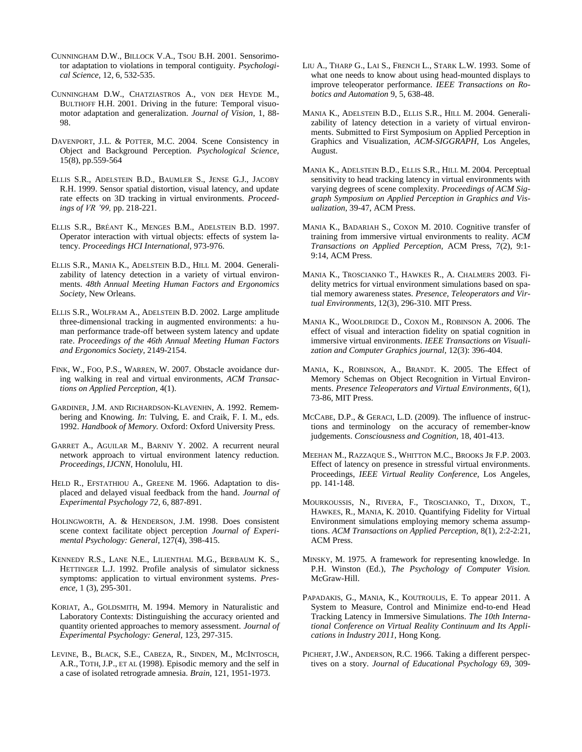- CUNNINGHAM D.W., BILLOCK V.A., TSOU B.H. 2001. Sensorimotor adaptation to violations in temporal contiguity*. Psychological Science,* 12, 6, 532-535.
- CUNNINGHAM D.W., CHATZIASTROS A., VON DER HEYDE M., BULTHOFF H.H. 2001. Driving in the future: Temporal visuomotor adaptation and generalization. *Journal of Vision,* 1, 88- 98.
- DAVENPORT, J.L. & POTTER, M.C. 2004. Scene Consistency in Object and Background Perception. *Psychological Science,* 15(8), pp.559-564
- ELLIS S.R., ADELSTEIN B.D., BAUMLER S., JENSE G.J., JACOBY R.H. 1999. Sensor spatial distortion, visual latency, and update rate effects on 3D tracking in virtual environments. *Proceedings of VR '99,* pp. 218-221.
- ELLIS S.R., BRÉANT K., MENGES B.M., ADELSTEIN B.D. 1997. Operator interaction with virtual objects: effects of system latency. *Proceedings HCI International,* 973-976.
- ELLIS S.R., MANIA K., ADELSTEIN B.D., HILL M. 2004. Generalizability of latency detection in a variety of virtual environments. *48th Annual Meeting Human Factors and Ergonomics Society,* New Orleans.
- ELLIS S.R., WOLFRAM A., ADELSTEIN B.D. 2002. Large amplitude three-dimensional tracking in augmented environments: a human performance trade-off between system latency and update rate. *Proceedings of the 46th Annual Meeting Human Factors and Ergonomics Society,* 2149-2154.
- FINK, W., FOO, P.S., WARREN, W. 2007. Obstacle avoidance during walking in real and virtual environments, *ACM Transactions on Applied Perception,* 4(1).
- GARDINER, J.M. AND RICHARDSON-KLAVENHN, A. 1992. Remembering and Knowing. *In*: Tulving, E. and Craik, F. I. M., eds. 1992. *Handbook of Memory.* Oxford: Oxford University Press.
- GARRET A., AGUILAR M., BARNIV Y. 2002. A recurrent neural network approach to virtual environment latency reduction. *Proceedings, IJCNN,* Honolulu, HI.
- HELD R., EFSTATHIOU A., GREENE M. 1966. Adaptation to displaced and delayed visual feedback from the hand. *Journal of Experimental Psychology 72,* 6, 887-891.
- HOLINGWORTH, A. & HENDERSON, J.M. 1998. Does consistent scene context facilitate object perception *Journal of Experimental Psychology: General*, 127(4), 398-415.
- KENNEDY R.S., LANE N.E., LILIENTHAL M.G., BERBAUM K. S., HETTINGER L.J. 1992. Profile analysis of simulator sickness symptoms: application to virtual environment systems. *Presence,* 1 (3), 295-301.
- KORIAT, A., GOLDSMITH, M. 1994. Memory in Naturalistic and Laboratory Contexts: Distinguishing the accuracy oriented and quantity oriented approaches to memory assessment. *Journal of Experimental Psychology: General,* 123, 297-315.
- LEVINE, B., BLACK, S.E., CABEZA, R., SINDEN, M., MCINTOSCH, A.R., TOTH, J.P., ET AL (1998). Episodic memory and the self in a case of isolated retrograde amnesia. *Brain,* 121, 1951-1973.
- LIU A., THARP G., LAI S., FRENCH L., STARK L.W. 1993. Some of what one needs to know about using head-mounted displays to improve teleoperator performance. *IEEE Transactions on Robotics and Automation* 9, 5, 638-48.
- MANIA K., ADELSTEIN B.D., ELLIS S.R., HILL M. 2004. Generalizability of latency detection in a variety of virtual environments. Submitted to First Symposium on Applied Perception in Graphics and Visualization, *ACM-SIGGRAPH,* Los Angeles, August.
- MANIA K., ADELSTEIN B.D., ELLIS S.R., HILL M. 2004. Perceptual sensitivity to head tracking latency in virtual environments with varying degrees of scene complexity. *Proceedings of ACM Siggraph Symposium on Applied Perception in Graphics and Visualization,* 39-47, ACM Press.
- MANIA K., BADARIAH S., COXON M. 2010. Cognitive transfer of training from immersive virtual environments to reality. *ACM Transactions on Applied Perception,* ACM Press, 7(2), 9:1- 9:14, ACM Press.
- MANIA K., TROSCIANKO T., HAWKES R., A. CHALMERS 2003. Fidelity metrics for virtual environment simulations based on spatial memory awareness states. *Presence, Teleoperators and Virtual Environments,* 12(3), 296-310. MIT Press.
- MANIA K., WOOLDRIDGE D., COXON M., ROBINSON A. 2006. The effect of visual and interaction fidelity on spatial cognition in immersive virtual environments. *IEEE Transactions on Visualization and Computer Graphics journal,* 12(3): 396-404.
- MANIA, K., ROBINSON, A., BRANDT. K. 2005. The Effect of Memory Schemas on Object Recognition in Virtual Environments. *Presence Teleoperators and Virtual Environments,* 6(1), 73-86, MIT Press.
- MCCABE, D.P., & GERACI, L.D. (2009). The influence of instructions and terminology on the accuracy of remember-know judgements. *Consciousness and Cognition,* 18, 401-413.
- MEEHAN M., RAZZAQUE S., WHITTON M.C., BROOKS JR F.P. 2003. Effect of latency on presence in stressful virtual environments. Proceedings, *IEEE Virtual Reality Conference,* Los Angeles, pp. 141-148.
- MOURKOUSSIS, N., RIVERA, F., TROSCIANKO, T., DIXON, T., HAWKES, R., MANIA, K. 2010. Quantifying Fidelity for Virtual Environment simulations employing memory schema assumptions. *ACM Transactions on Applied Perception,* 8(1), 2:2-2:21, ACM Press.
- MINSKY, M. 1975. A framework for representing knowledge. In P.H. Winston (Ed.), *The Psychology of Computer Vision.* McGraw-Hill.
- PAPADAKIS, G., MANIA, K., KOUTROULIS, E. To appear 2011. A System to Measure, Control and Minimize end-to-end Head Tracking Latency in Immersive Simulations. *The 10th International Conference on Virtual Reality Continuum and Its Applications in Industry 2011,* Hong Kong.
- PICHERT, J.W., ANDERSON, R.C. 1966. Taking a different perspectives on a story. *Journal of Educational Psychology* 69, 309-